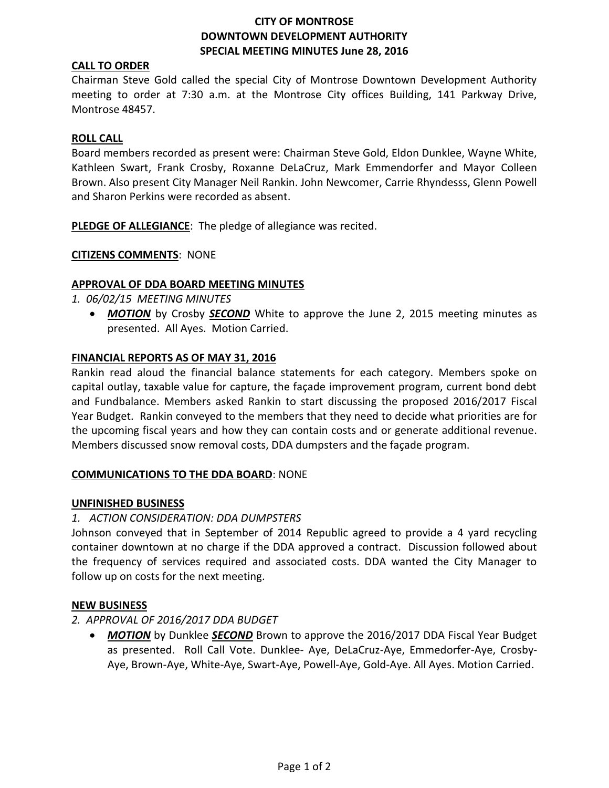## **CITY OF MONTROSE DOWNTOWN DEVELOPMENT AUTHORITY SPECIAL MEETING MINUTES June 28, 2016**

## **CALL TO ORDER**

Chairman Steve Gold called the special City of Montrose Downtown Development Authority meeting to order at 7:30 a.m. at the Montrose City offices Building, 141 Parkway Drive, Montrose 48457.

### **ROLL CALL**

Board members recorded as present were: Chairman Steve Gold, Eldon Dunklee, Wayne White, Kathleen Swart, Frank Crosby, Roxanne DeLaCruz, Mark Emmendorfer and Mayor Colleen Brown. Also present City Manager Neil Rankin. John Newcomer, Carrie Rhyndesss, Glenn Powell and Sharon Perkins were recorded as absent.

**PLEDGE OF ALLEGIANCE**: The pledge of allegiance was recited.

## **CITIZENS COMMENTS**: NONE

## **APPROVAL OF DDA BOARD MEETING MINUTES**

- *1. 06/02/15 MEETING MINUTES*
	- *MOTION* by Crosby *SECOND* White to approve the June 2, 2015 meeting minutes as presented. All Ayes. Motion Carried.

#### **FINANCIAL REPORTS AS OF MAY 31, 2016**

Rankin read aloud the financial balance statements for each category. Members spoke on capital outlay, taxable value for capture, the façade improvement program, current bond debt and Fundbalance. Members asked Rankin to start discussing the proposed 2016/2017 Fiscal Year Budget. Rankin conveyed to the members that they need to decide what priorities are for the upcoming fiscal years and how they can contain costs and or generate additional revenue. Members discussed snow removal costs, DDA dumpsters and the façade program.

#### **COMMUNICATIONS TO THE DDA BOARD**: NONE

#### **UNFINISHED BUSINESS**

## *1. ACTION CONSIDERATION: DDA DUMPSTERS*

Johnson conveyed that in September of 2014 Republic agreed to provide a 4 yard recycling container downtown at no charge if the DDA approved a contract. Discussion followed about the frequency of services required and associated costs. DDA wanted the City Manager to follow up on costs for the next meeting.

#### **NEW BUSINESS**

## *2. APPROVAL OF 2016/2017 DDA BUDGET*

 *MOTION* by Dunklee *SECOND* Brown to approve the 2016/2017 DDA Fiscal Year Budget as presented. Roll Call Vote. Dunklee- Aye, DeLaCruz-Aye, Emmedorfer-Aye, Crosby-Aye, Brown-Aye, White-Aye, Swart-Aye, Powell-Aye, Gold-Aye. All Ayes. Motion Carried.